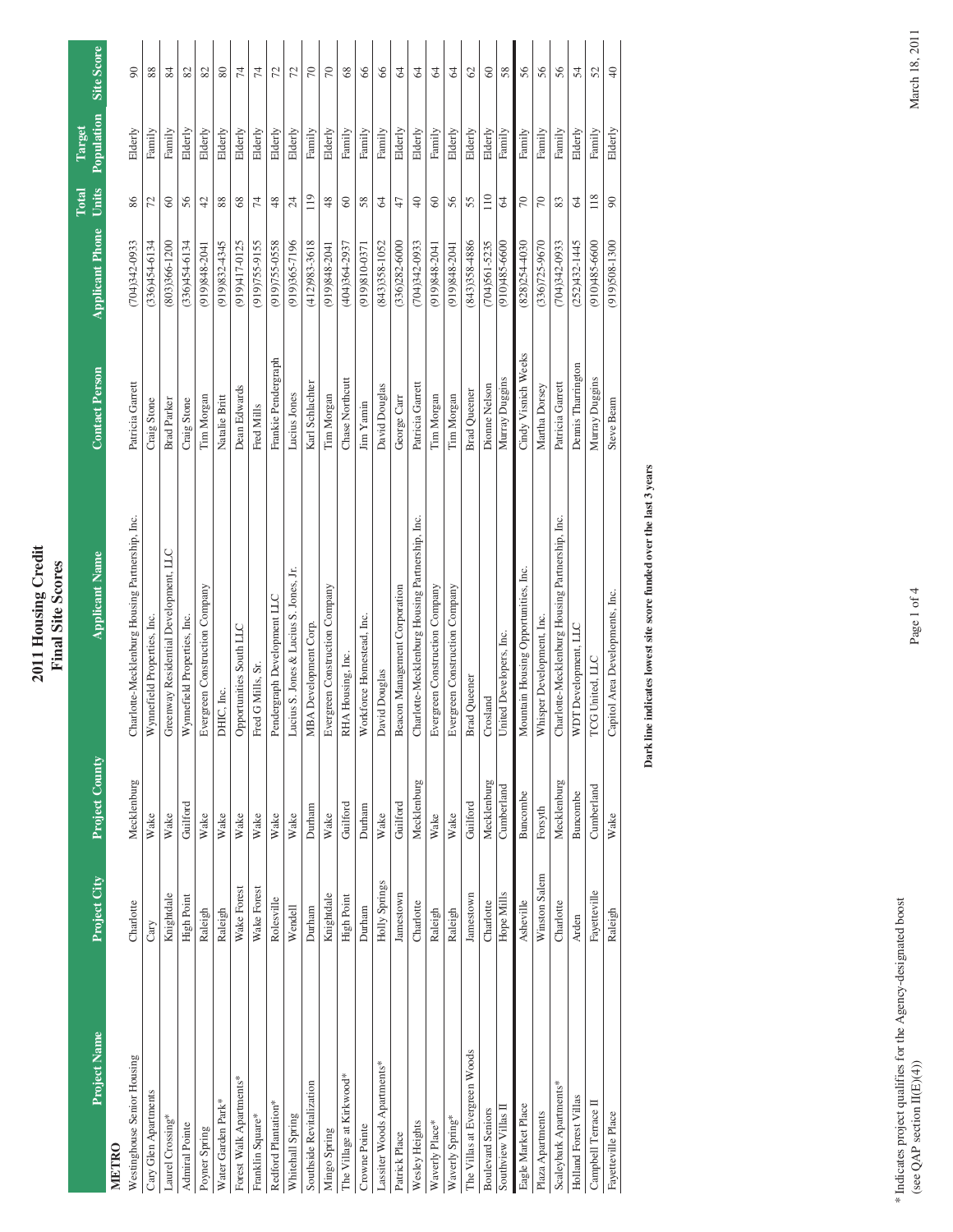## **Applicant Phone Units Population Site Score Population Site Score**  $\infty$ 88  $\frac{84}{5}$  $82\,$ 82  $80\,$  $\overline{7}4$  $\overline{7}$  $\overline{z}$  $\overline{z}$  $\approx$  $\infty$  $68$  $\frac{6}{5}$  $66$  $\mathcal{R}$  $\mathcal{R}$  $\mathcal{R}$  $\mathcal{R}$  $\mathcal{O}$  $\otimes$ 58 56 56 56  $\,54$ 52  $\Theta$ Westinghouse Senior Housing Charlotte Mecklenburg Housing Partnership, Inc. Patricia Garrett (704)342-0933 86 Elderly 90<br>Westinghouse Senior (704)342-0933 86 Cary Glen Apartments Cary G154-6154-6154-6134 Cary Cary G38 Stone (336)4 Cary G38 Stone (334 72 Family 88 Family 88 Family 88 Family 88 Family 88 Family 88 Family 88 Family 88 Family 88 Family 88 Family 88 Family 88 Family Laurel Crossing\* Knightdale Knightdale Greenway Residential Development, LLC Brad Parker (803)366-1200 60 Family Resident Brad Parker (803)366-1200 60 Family 84 Admiral Pointe High Point Guilford Wynnefield Properties, Inc. Craig Stone (336)454-6134 56 Elderly 82 Poyner Spring Raleigh Raleigh Raleigh Raleigh Construction Company Tim Morgan (919)848-2041 42 Elderly 82 Elderly 82 Elderly 82 Elderly 82 Elderly 82 Elderly 82 Elderly 82 Elderly 82 Elderly 82 Elderly 82 Elderly 82 Elderl Water Park\* Raleigh Raleigh Raleigh Raleigh Raleigh Raleigh Raleigh Raleigh Raleigh Raleigh Raleigh Raleigh Raleigh Raleigh Raleigh Raleigh Raleigh Raleigh Raleigh Raleigh Raleigh Raleigh Raleigh Raleigh Raleigh Raleigh Ra Forest Walk Apartments\* Make Forest COPPORTunities South LLC Dean Edwards South LLC Dean Edwards Nake Opportunities South Dean Edwards Aler Dean Edwards 68 Blderly 74 Franklin Square\* Wake Forest Wake Fred G Mills, Sr. Fred Mills (919)755-9155 74 Elderly 74 Redford Plantation\* Rolesville Rolesville Rolesville Pendergraph Development LLC Frankie Pendergraph (919)755-0558 48 Elderly 72 Whitehall Spring (919)365-71960-12 Lucius S. Jones & Lucius S. Jones & Lucius S. Jones & Lucius Jones (919)365-7196-7196 Piderly 724 Elderly 724 Elderly 724 Elderly 724 Elderly 724 Elderly 724 Elderly 724 Elderly 724 Elder Southside Revitalization Durham Durham Durham Durham Durham Durham Durham Durham Durham Durham Durham Durham Durham Durham Durham Durham Durham Durham Durham Durham Durham Durham Durham Durham Durham Durham Durham Durham D Mingo Spring Knightdale Elderly Knightdale Evergreen Construction Company Evergreen Company Evergreen Company Tim Morgan (919-9348-2004-19 Blderly 700-919-2041 48 Elderly 700-019-2041 AS 86 The Village at Kirky1919(4104) (404) 2011 10:04 Moint Guilford RHA Housing, Inc. Chase Northcutt Guilford RHA Housing, Inc. Co Crowne Pointe Durham Durham Durham Durham Durham Durham Durham Durham Durham Durham (919)810-0371 58 Family 66 Lassiter Woods Apartments\* 66 Family Springs Make David Douglas David Douglas David Douglas (843)358-1052 64 Family 66 Patrick Place Jamestown Guilford Beacon Guilford Beacon Management Corporation George Carr (336)282-6000 47 Elderly 647 Elderly 647 Elderly 647 Elderly 647 Elderly 642-6000 6484 Elderly 647 Elderly 642-6000 6484 Elderly 64 Wesley Heights Charlotte Mecklenburg Charlotte-Mecklenburg Housing Partnership, Inc. Patricia Garrett (704)342-0933 40 Elderly 640 Elderly 640 Elderly 640 Elderly 640 Elderly 640 Elderly 640 Elderly 640 Elderly 640 Elderly Waverly Place\* Raleigh Wake Evergreen Construction Company Tim Morgan (919)848-2041 60 Family 64 Waverly Spring\* Raleigh Naleigh Raleigh Wake Evergreen Construction Construction Company Tim Morgan (919)84-2041 56 Elderly 64 Elderly 64 Elderly 64 Elderly 64 Elderly 64 Elderly 64 Elderly 64 Elderly 64 Elderly 64 Elderly The Villas at Evergreen Woods Jamestown Guilford States Jamestown Gueener Brad Queener Brad Queener David Guilford Brad Queener Brad Queener Brad Queener Brad Queener Brad Queener Brad Queener Brad Queener States of States Boulevard Seniors Charlotte Mecklenburg Charlotte Mecklenburg Crosland Dionne Nelson (704)561-5235 110 Elderly Filderly 60 Southview Villas II Hope Mills Cumberland Duggins Nurray Duggins Cumberland Duggins (1610–1610) 58-600 54 Family 58 Family 58 Family 58 Family 58 Family 58 Family 58 Family 59 Family 59 Family 59 Family 59 Family 59 Family Eagle Market Place Asheville Buncombe Mountain Housing Opportunities, Inc. Cindy Visnich Weeks (828)254-4030 70 Family 56 Plaza Apartments Winston Salem Forsyth Whisper Development, Inc. Martha Dorsey (336)725-9670 70 Family 56 Scaleybark Apartments\* Charlotte Mecklenburg Charlotte-Mecklenburg Housing Partnership, Inc. Patricia Garrett (704)342-0933 83 Family 56 بالا Holland Forest Villas Arden Buncombe Development, LLC Dennis Tharrington Development, LLC Development, LLC Dennis Tharrington (352–1445), and Buncombe Buncombe Buncombe Buncombe Buncombe Buncombe Buncombe Buncombe Bu Campbell Terrace II 68 Fayetteville Cumberland Cumberland Cumberland Cumberland Cumberland Cumberland Cumberland Cumberland Family 52 Fayetteville Gumberland Cumberland Cumberland Cumberland Cumberland Cumberland Cumberlan Fayetteville Place Raleigh Raleigh Raleigh Raleigh Raleigh Raleigh Revelopments, Inc. Steve Beam (919)508-1300 90 Elderly Blderly 40 **Target**  Elderly Elderly Elderly Elderly Elderly Elderly Elderly Elderly Elderly Family Elderly Family Family Elderly Elderly Family Elderly Elderly Family Family Elderly Family Elderly Family Family Family Family Family **Total**  119  $110\,$  $118\,$  $86\,$  $72\,$  $\mbox{60}$ 56  $42$  $88\,$  $68\,$  $\,74$  $48$  $24\,$  $48$  $\mbox{60}$ 58  $\sqrt{2}$  $47\,$  $\oplus$  $\mbox{\large\it\odot}$ 56 55  $64$  $70\,$  $70\,$  $83\,$  $64\,$  $90$ **Project Name Project City Project County Applicant Name Contact Person Applicant Phone**  $(910)485 - 6600$  $(919)508 - 1300$  $(336)454-6134$  $(919)832 - 4345$ (919)755-9155  $(919)755 - 0558$  $(919)365 - 7196$  $(412)983 - 3618$  $(336)282 - 6000$  $(704)342-0933$  $(843)358-4886$  $(704)561 - 5235$  $(336)725 - 9670$  $(252)432 - 1445$ 704)342-0933  $(336)454-6134$ (803)366-1200 (919)417-0125  $(404)364-2937$  $(843)358 - 1052$ (919)848-2041 (919)848-2041  $(910)485 - 6600$  $(828)254-4030$  $(704)342-0933$ (919)848-204 (919)848-2041  $(919)810-0371$ Cindy Visnich Weeks Frankie Pendergraph **Contact Person** Dennis Tharrington Murray Duggins Chase Northcutt Murray Duggins Karl Schlachter David Douglas Patricia Garrett Patricia Garrett Patricia Garret Dionne Nelson Martha Dorsey Dean Edwards **Brad Queener** Tim Morgan Natalie Britt Lucius Jones Tim Morgan George Carr Tim Morgan Tim Morgan Craig Stone Steve Beam Craig Stone **Brad Parker** Jim Yamin Fred Mills Charlotte-Mecklenburg Housing Partnership, Inc. Charlotte-Mecklenburg Housing Partnership, Inc. Charlotte-Mecklenburg Housing Partnership, Inc. Greenway Residential Development, LLC **Applicant Name** Lucius S. Jones & Lucius S. Jones, Jr. Mountain Housing Opportunities, Inc. Evergreen Construction Company Beacon Management Corporation Evergreen Construction Company Evergreen Construction Company Evergreen Construction Company Capitol Area Developments, Inc. Pendergraph Development LLC Wynnefield Properties, Inc. Workforce Homestead, Inc. Whisper Development, Inc. Wynnefield Properties, Inc. Opportunities South LLC MBA Development Corp. WDT Development, LLC United Developers, Inc. RHA Housing, Inc. TCG United, LLC Fred G Mills, Sr David Douglas **Brad** Queener DHIC, Inc. Crosland Project County Mecklenburg Mecklenburg Mecklenburg Mecklenburg Cumberland Cumberland Buncombe Buncombe Guilford Durham Guilford Guilford Durham Guilford Forsyth Wake Wake Wake Wake Wake Wake Wake Wake Wake Wake Wake Wake Wake Winston Salem Project City Holly Springs Wake Forest Wake Forest Fayetteville Jamestown **High Point** Knightdale Jamestown Knightdale Rolesville High Point Hope Mills Charlotte Charlotte Charlotte Charlotte Wendell Asheville Durham Durham Raleigh Raleigh Raleigh Raleigh Raleigh Arden Cary Project Name The Villas at Evergreen Woods Westinghouse Senior Housing Lassiter Woods Apartments The Village at Kirkwood\* Forest Walk Apartments\* Southside Revitalization Scaleybark Apartments<sup>\*</sup> Cary Glen Apartments Holland Forest Villas Campbell Terrace II Water Garden Park\* Redford Plantation\* Eagle Market Place **Boulevard Seniors** Southview Villas 1 Plaza Apartments Fayetteville Place Whitehall Spring Franklin Square\* Laurel Crossing<sup>\*</sup> Waverly Spring\* Admiral Pointe Wesley Heights Waverly Place\* Crowne Pointe Poyner Spring Mingo Spring Patrick Place **METRO**

 **2011 Housing Credit Final Site Scores**

**Final Site Scores** 

2011 Housing Credit

Dark line indicates lowest site score funded over the last 3 years **Dark line indicates lowest site score funded over the last 3 years**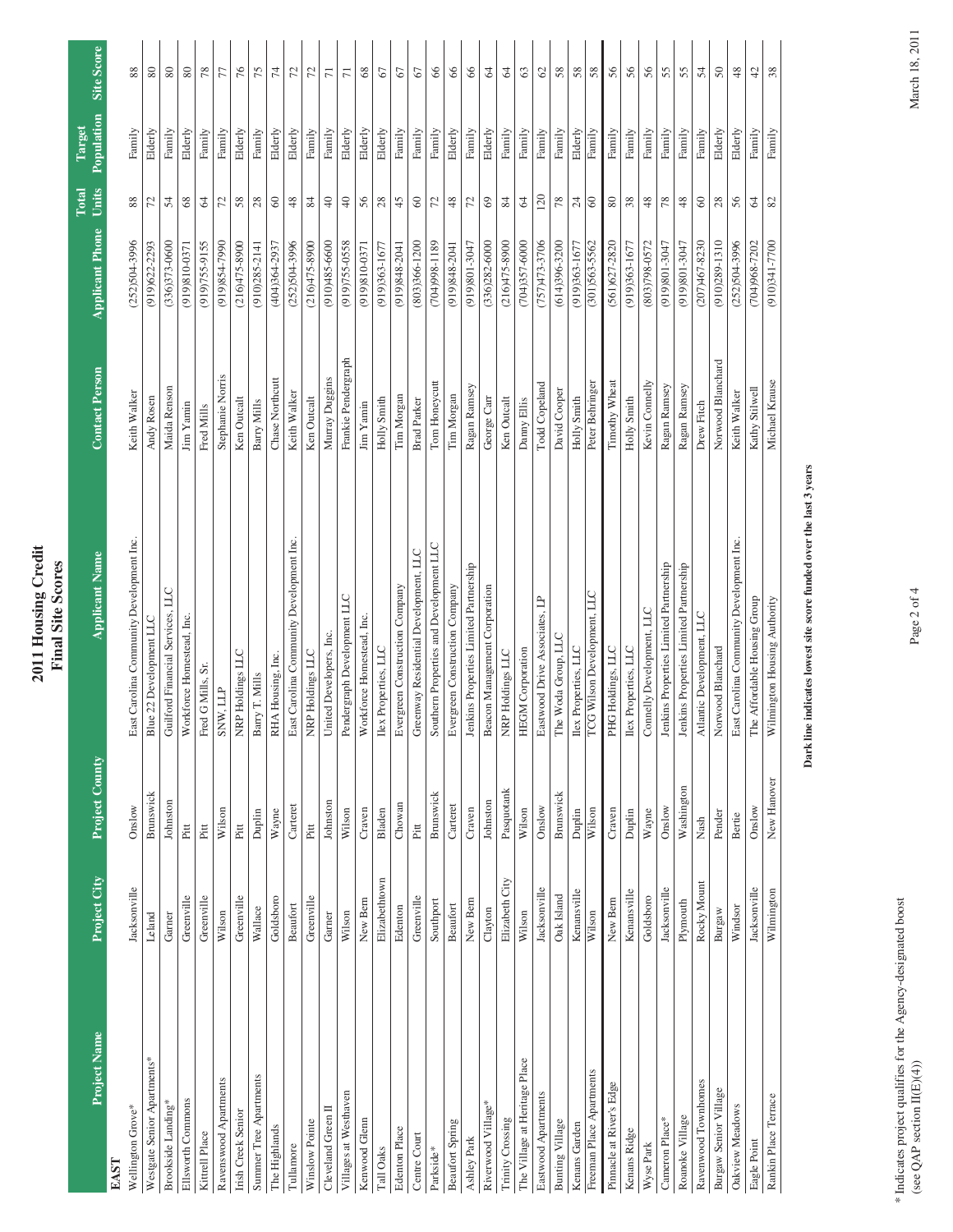|                               |                |                | 2011 Housing Credit<br><b>Final Site Scores</b> |                       |                        |                          |                      |                |
|-------------------------------|----------------|----------------|-------------------------------------------------|-----------------------|------------------------|--------------------------|----------------------|----------------|
| Project Name                  | Project City   | Project County | <b>Applicant Name</b>                           | <b>Contact Person</b> | <b>Applicant Phone</b> | Units<br>Total           | Population<br>Target | Site Score     |
| EAST                          |                |                |                                                 |                       |                        |                          |                      |                |
| Wellington Grove*             | Jacksonville   | Onslow         | East Carolina Community Development Inc         | Keith Walker          | $(252)504 - 3996$      | 88                       | Family               |                |
| Westgate Senior Apartments*   | Leland         | Brunswick      | Blue 22 Development LLC                         | Andy Rosen            | $(919)622 - 2293$      | 72                       | Elderly              | 80             |
| Brookside Landing*            | Garner         | Johnston       | Guilford Financial Services, LLC                | Maida Renson          | $(336)373 - 0600$      | 54                       | Family               | $80\,$         |
| Ellsworth Commons             | Greenville     | Pitt           | Workforce Homestead, Inc.                       | Jim Yamin             | $(919)810-0371$        | $68\,$                   | Elderly              | $\rm 80$       |
| Kittrell Place                | Greenville     | Pitt           | Fred G Mills, Sr                                | Fred Mills            | (919)755-9155          | 64                       | Family               | 78             |
| Ravenswood Apartments         | Wilson         | Wilson         | SNW, LLP                                        | Stephanie Norris      | 0662-1586616)          | 72                       | Family               | 77             |
| Irish Creek Senior            | Greenville     | Pitt           | NRP Holdings LLC                                | Ken Outcalt           | $(216)475 - 8900$      | $58\,$                   | Elderly              | 76             |
| Summer Tree Apartments        | Wallace        | Duplin         | Barry T. Mills                                  | Barry Mills           | $(910)285 - 2141$      | $28$                     | Family               | 75             |
| The Highlands                 | Goldsboro      | Wayne          | RHA Housing, Inc.                               | Chase Northcutt       | $(404)364-2937$        | $\mbox{6}$               | Elderly              | $\,74$         |
| Tullanore                     | Beaufort       | Carteret       | East Carolina Community Development Inc         | Keith Walker          | $(252)504 - 3996$      | $48$                     | Elderly              | 72             |
| Winslow Pointe                | Greenville     | $_{\rm Pitt}$  | NRP Holdings LLC                                | Ken Outcalt           | $(216)475 - 8900$      | $\,84$                   | Family               | $\mathcal{L}$  |
| Cleveland Green II            | Garner         | Johnston       | United Developers, Inc.                         | Murray Duggins        | $(910)485 - 6600$      | $40$                     | Family               | $\overline{r}$ |
| Villages at Westhaven         | Wilson         | Wilson         | Pendergraph Development LLC                     | Frankie Pendergraph   | (919)755-0558          | $\sqrt{4}$               | Elderly              | $\overline{7}$ |
| Kenwood Glenn                 | New Bern       | Craven         | Workforce Homestead, Inc.                       | Jim Yamin             | (919)810-0371          | 56                       | Elderly              | 68             |
| Tall Oaks                     | Elizabethtown  | Bladen         | lex Properties, LLC                             | Holly Smith           | $(919)363 - 1677$      | $28$                     | Elderly              | $\mathcal{L}$  |
| Edenton Place                 | Edenton        | Chowan         | Evergreen Construction Company                  | Tim Morgan            | $(919)848-2041$        | 45                       | Family               | 67             |
| Centre Court                  | Greenville     | Pitt           | Greenway Residential Development, LLC           | <b>Brad Parker</b>    | $(803)366 - 1200$      | $\mbox{ }_{\mathcal{O}}$ | Family               | $\mathcal Q$   |
| Parkside*                     | Southport      | Brunswick      | Southern Properties and Development LLC         | Tom Honeycutt         | $(704)998 - 1189$      | 72                       | Family               | 8              |
| <b>Beaufort Spring</b>        | Beaufort       | Carteret       | Evergreen Construction Company                  | Tim Morgan            | $(919)848-2041$        | $48$                     | Elderly              | $\infty$       |
| Ashley Park                   | New Bern       | Craven         | Ienkins Properties Limited Partnership          | Ragan Ramsey          | (919)801-3047          | 72                       | Family               | 66             |
| Riverwood Village*            | Clayton        | Johnston       | Beacon Management Corporation                   | George Carr           | $(336)282 - 6000$      | $69$                     | Elderly              | $\mathcal{A}$  |
| Trinity Crossing              | Elizabeth City | Pasquotank     | NRP Holdings LLC                                | Ken Outcalt           | $(216)475 - 8900$      | 84                       | Family               | 2              |
| The Village at Heritage Place | Wilson         | Wilson         | <b>HEGM</b> Corporation                         | Danny Ellis           | $(704)357-6000$        | $\mathfrak{g}$           | Family               | $\mathbb{G}$   |
| Eastwood Apartments           | Jacksonville   | Onslow         | Fastwood Drive Associates, LP                   | Todd Copeland         | $(757)473 - 3706$      | 120                      | Family               | $\mathcal{S}$  |
| Bunting Village               | Oak Island     | Brunswick      | The Woda Group, LLC                             | David Cooper          | $(614)396 - 3200$      | $78\,$                   | Family               | 58             |
| Kenans Garden                 | Kenansville    | Duplin         | lex Properties, LLC                             | Holly Smith           | (919)363-1677          | $24\,$                   | Elderly              | 58             |
| Freeman Place Apartments      | Wilson         | Wilson         | <b>ICG Wilson Development, LLC</b>              | Peter Behringer       | $(301)563 - 5562$      | $\circ$                  | Family               | $58\,$         |
| Pinnacle at River's Edge      | New Bern       | Craven         | PHG Holdings, LLC                               | Timothy Wheat         | $(561)627 - 2820$      | $\rm 80$                 | Family               | 56             |
| Kenans Ridge                  | Kenansville    | Duplin         | lex Properties, LLC                             | Holly Smith           | $(919)363 - 1677$      | $38\,$                   | Family               | 56             |
| Wyse Park                     | Goldsboro      | Wayne          | Connelly Development, LLC                       | Kevin Connelly        | $(803)798 - 0572$      | $48$                     | Family               | 56             |
| Cameron Place*                | Jacksonville   | Onslow         | Jenkins Properties Limited Partnership          | Ragan Ramsey          | (919)801-3047          | $78\,$                   | Family               | 55             |
| Roanoke Village               | Plymouth       | Washington     | enkins Properties Limited Partnership           | Ragan Ramsey          | $(19(19)801 - 3047)$   | $48$                     | Family               | 55             |
| Ravenwood Townhomes           | Rocky Mount    | Nash           | Atlantic Development, LLC                       | Drew Fitch            | $(207)467 - 8230$      | $\infty$                 | Family               | 54             |
| Burgaw Senior Village         | Burgaw         | Pender         | Norwood Blanchard                               | Norwood Blanchard     | $(910)289 - 1310$      | $28\,$                   | Elderly              | $50\,$         |
| Oakview Meadows               | Windsor        | Bertie         | East Carolina Community Development Inc.        | Keith Walker          | $(252)504 - 3996$      | 56                       | Elderly              | 48             |
| Eagle Point                   | Jacksonville   | Onslow         | The Affordable Housing Group                    | Kathy Stilwell        | $(704)968 - 7202$      | 64                       | Family               | $\ddot{c}$     |
| Rankin Place Terrace          | Wilmington     | New Hanover    | Wilmington Housing Authority                    | Michael Krause        | 0077-148(016)          | $82\,$                   | Family               | 38             |

## Dark line indicates lowest site score funded over the last 3 years **Dark line indicates lowest site score funded over the last 3 years**

(see QAP section  $\text{II}(E)(4)$ ) March 18, 2011  $\text{Page 2 of 4}$  $\,^*$  Indicates project qualifies for the Agency-designated boost (see QAP section II(E)(4)) \* Indicates project qualifies for the Agency-designated boost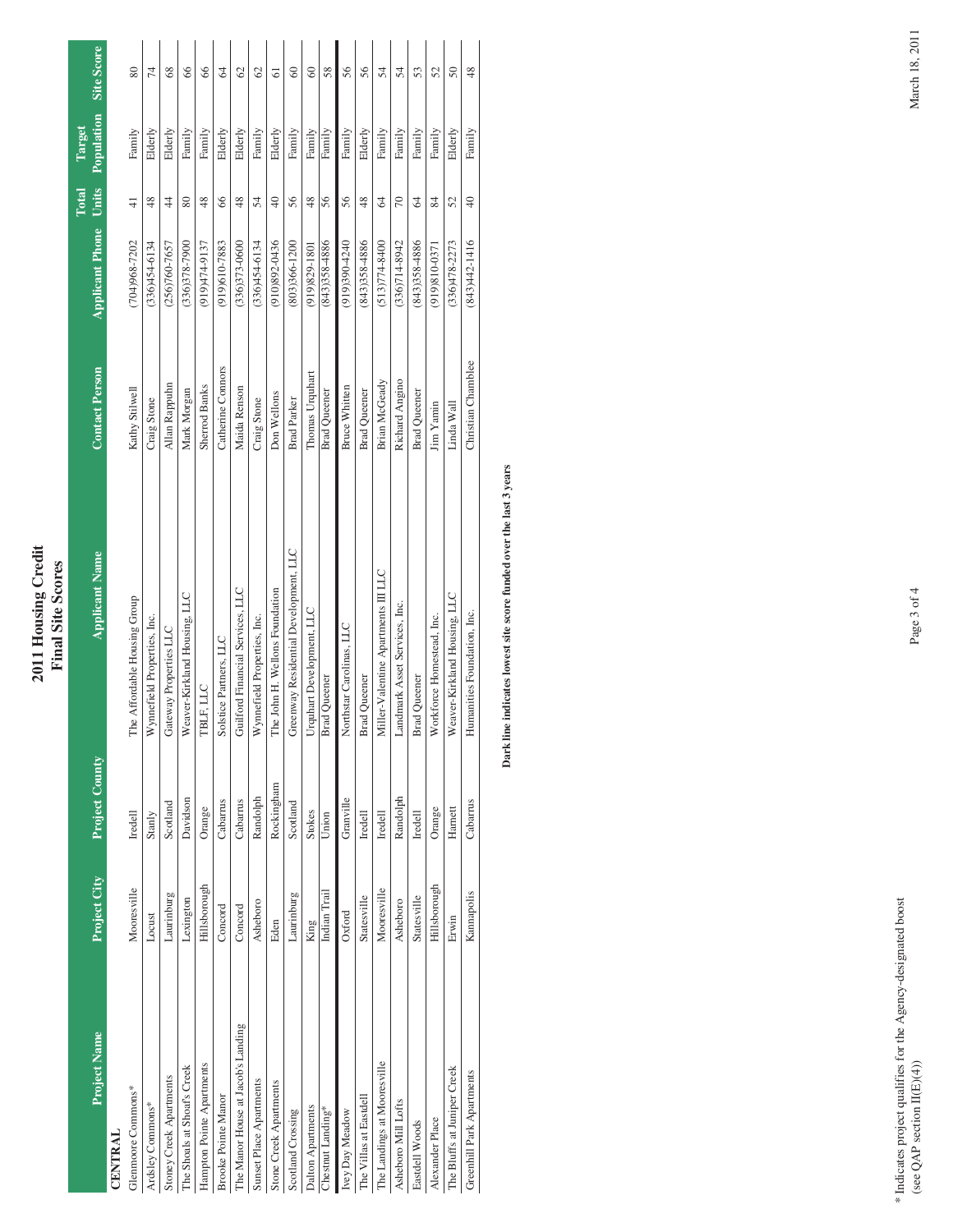| <b>SCOTE</b><br>₽<br>7<br>$\mathbf{Sit}$<br>Ę<br>dinal<br>201 |
|---------------------------------------------------------------|
|---------------------------------------------------------------|

| <b>Project Name</b>                | Project City | <b>Project County</b> | <b>Applicant Name</b>                 | <b>Contact Person</b> | <b>Applicant Phone</b>                 | Units<br>Total  | Population<br>Target | Site Score    |
|------------------------------------|--------------|-----------------------|---------------------------------------|-----------------------|----------------------------------------|-----------------|----------------------|---------------|
| <b>CENTRAL</b>                     |              |                       |                                       |                       |                                        |                 |                      |               |
| Glenmoore Commons*                 | Mooresville  | Iredell               | The Affordable Housing Group          | Kathy Stilwell        | $(704)968 - 7202$                      | $\frac{1}{4}$   | Family               | 80            |
| Ardsley Commons*                   | Locust       | Stanly                | Wynnefield Properties, Inc.           | Craig Stone           | $(336)454-6134$                        | 48              | Elderly              | Ħ             |
| Stoney Creek Apartments            | Laurinburg   | Scotland              | Gateway Properties LLC                | Allan Rappuhn         | $(256)760 - 7657$                      | $\frac{4}{4}$   | Elderly              | $\frac{8}{3}$ |
| The Shoals at Shoaf's Creek        | Lexington    | Davidson              | Weaver-Kirkland Housing, LLC          | Mark Morgan           | $(336)378 - 7900$                      | 80              | Family               | 66            |
| Hampton Pointe Apartments          | Hillsborough | Orange                | TBLF, LLC                             | <b>Sherrod Banks</b>  | (919 <sub>+</sub> T <sub>4-9</sub> 137 | 48              | Family               | 66            |
| <b>Brooke Pointe Manor</b>         | Concord      | Cabarrus              | Solstice Partners, LLC                | Catherine Connors     | $(919)610 - 7883$                      | 66              | Elderly              | Z             |
| The Manor House at Jacob's Landing | Concord      | Cabarrus              | Guilford Financial Services, LLC      | Maida Renson          | $(336)373 - 0600$                      | 48              | Elderly              | $\heartsuit$  |
| Sunset Place Apartments            | Asheboro     | Randolph              | Wynnefield Properties, Inc.           | Craig Stone           | $(336)454-6134$                        | 54              | Family               | $\infty$      |
| Stone Creek Apartments             | Eden         | Rockingham            | The John H. Wellons Foundation        | Don Wellons           | $(910)892 - 0436$                      | $\overline{40}$ | Elderly              | ଌ             |
| Scotland Crossing                  | Laurinburg   | Scotland              | Greenway Residential Development, LLC | <b>Brad Parker</b>    | $(803)366 - 1200$                      | 56              | Family               | 8             |
| Dalton Apartments                  | King         | Stokes                | Urquhart Development, LLC             | Thomas Urquhart       | $(919)829 - 1801$                      | $\frac{8}{3}$   | Family               | 8             |
| Chestnut Landing*                  | Indian Trail | Union                 | <b>Brad</b> Queener                   | <b>Brad Queener</b>   | $(843)358-4886$                        | 56              | Family               | 58            |
| Ivey Day Meadow                    | Oxford       | Granville             | Northstar Carolinas, LLC              | <b>Bruce Whitten</b>  | $(919)390-4240$                        | 56              | Family               | 56            |
| The Villas at Eastdell             | Statesville  | Iredell               | <b>Brad</b> Queener                   | <b>Brad Queener</b>   | $(843)358-4886$                        | 48              | Elderly              | 56            |
| The Landings at Mooresville        | Mooresville  | Iredell               | Miller-Valentine Apartments III LLC   | Brian McGeady         | $(513)774 - 8400$                      | 64              | Family               | 54            |
| Asheboro Mill Lofts                | Asheboro     | Randolph              | Landmark Asset Services, Inc.         | Richard Angino        | $(336)714-8942$                        | 70              | Family               | 24            |
| Eastdell Woods                     | Statesville  | Iredell               | <b>Brad Queener</b>                   | <b>Brad Queener</b>   | $(843)358-4886$                        | 64              | Family               | 53            |
| Alexander Place                    | Hillsborough | Orange                | Workforce Homestead, Inc.             | Jim Yamin             | (919)810-0371                          | 84              | Family               | 25            |
| The Bluffs at Juniper Creek        | Erwin        | Harnett               | Weaver-Kirkland Housing, LLC          | Linda Wall            | $(336)478 - 2273$                      | 52              | Elderly              | $\delta$      |
| Greenhill Park Apartments          | Kannapolis   | Cabarrus              | Humanities Foundation, Inc.           | Christian Chamblee    | $(843)442 - 1416$                      | $\overline{40}$ | Family               | 48            |

Dark line indicates lowest site score funded over the last 3 years **Dark line indicates lowest site score funded over the last 3 years**